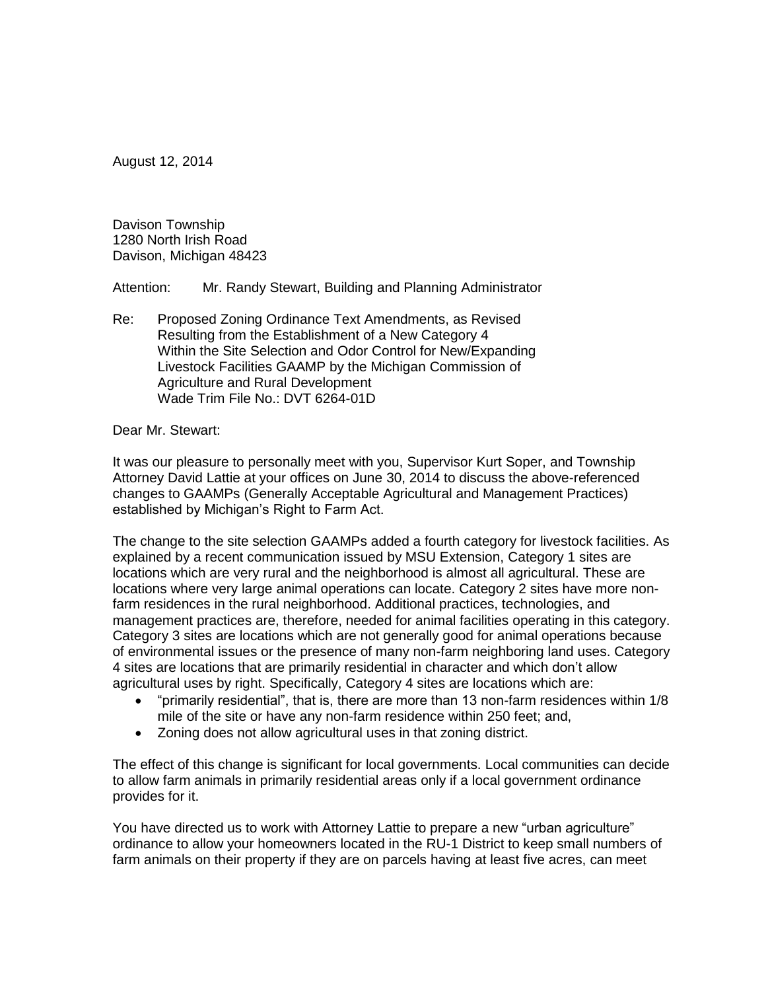August 12, 2014

Davison Township 1280 North Irish Road Davison, Michigan 48423

Attention: Mr. Randy Stewart, Building and Planning Administrator

Re: Proposed Zoning Ordinance Text Amendments, as Revised Resulting from the Establishment of a New Category 4 Within the Site Selection and Odor Control for New/Expanding Livestock Facilities GAAMP by the Michigan Commission of Agriculture and Rural Development Wade Trim File No.: DVT 6264-01D

### Dear Mr. Stewart:

It was our pleasure to personally meet with you, Supervisor Kurt Soper, and Township Attorney David Lattie at your offices on June 30, 2014 to discuss the above-referenced changes to GAAMPs (Generally Acceptable Agricultural and Management Practices) established by Michigan's Right to Farm Act.

The change to the site selection GAAMPs added a fourth category for livestock facilities. As explained by a recent communication issued by MSU Extension, Category 1 sites are locations which are very rural and the neighborhood is almost all agricultural. These are locations where very large animal operations can locate. Category 2 sites have more nonfarm residences in the rural neighborhood. Additional practices, technologies, and management practices are, therefore, needed for animal facilities operating in this category. Category 3 sites are locations which are not generally good for animal operations because of environmental issues or the presence of many non-farm neighboring land uses. Category 4 sites are locations that are primarily residential in character and which don't allow agricultural uses by right. Specifically, Category 4 sites are locations which are:

- "primarily residential", that is, there are more than 13 non-farm residences within 1/8 mile of the site or have any non-farm residence within 250 feet; and,
- Zoning does not allow agricultural uses in that zoning district.

The effect of this change is significant for local governments. Local communities can decide to allow farm animals in primarily residential areas only if a local government ordinance provides for it.

You have directed us to work with Attorney Lattie to prepare a new "urban agriculture" ordinance to allow your homeowners located in the RU-1 District to keep small numbers of farm animals on their property if they are on parcels having at least five acres, can meet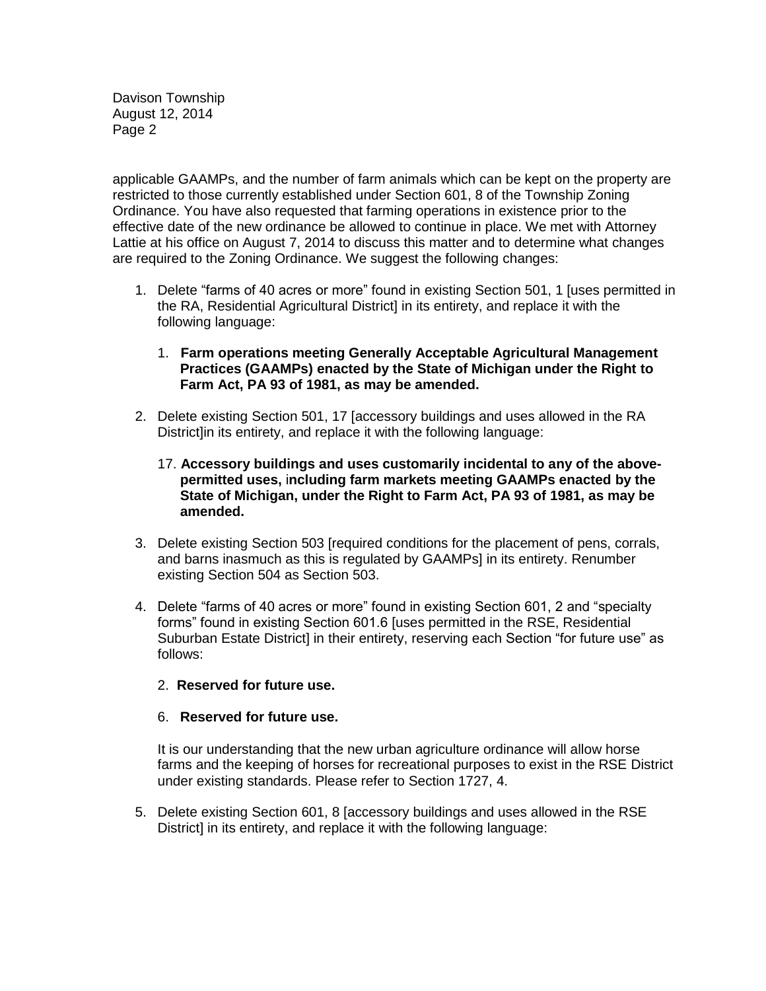Davison Township August 12, 2014 Page 2

applicable GAAMPs, and the number of farm animals which can be kept on the property are restricted to those currently established under Section 601, 8 of the Township Zoning Ordinance. You have also requested that farming operations in existence prior to the effective date of the new ordinance be allowed to continue in place. We met with Attorney Lattie at his office on August 7, 2014 to discuss this matter and to determine what changes are required to the Zoning Ordinance. We suggest the following changes:

- 1. Delete "farms of 40 acres or more" found in existing Section 501, 1 [uses permitted in the RA, Residential Agricultural District] in its entirety, and replace it with the following language:
	- 1. **Farm operations meeting Generally Acceptable Agricultural Management Practices (GAAMPs) enacted by the State of Michigan under the Right to Farm Act, PA 93 of 1981, as may be amended.**
- 2. Delete existing Section 501, 17 [accessory buildings and uses allowed in the RA District]in its entirety, and replace it with the following language:
	- 17. **Accessory buildings and uses customarily incidental to any of the abovepermitted uses,** i**ncluding farm markets meeting GAAMPs enacted by the State of Michigan, under the Right to Farm Act, PA 93 of 1981, as may be amended.**
- 3. Delete existing Section 503 [required conditions for the placement of pens, corrals, and barns inasmuch as this is regulated by GAAMPs] in its entirety. Renumber existing Section 504 as Section 503.
- 4. Delete "farms of 40 acres or more" found in existing Section 601, 2 and "specialty forms" found in existing Section 601.6 [uses permitted in the RSE, Residential Suburban Estate District] in their entirety, reserving each Section "for future use" as follows:
	- 2. **Reserved for future use.**

### 6. **Reserved for future use.**

It is our understanding that the new urban agriculture ordinance will allow horse farms and the keeping of horses for recreational purposes to exist in the RSE District under existing standards. Please refer to Section 1727, 4.

5. Delete existing Section 601, 8 [accessory buildings and uses allowed in the RSE District] in its entirety, and replace it with the following language: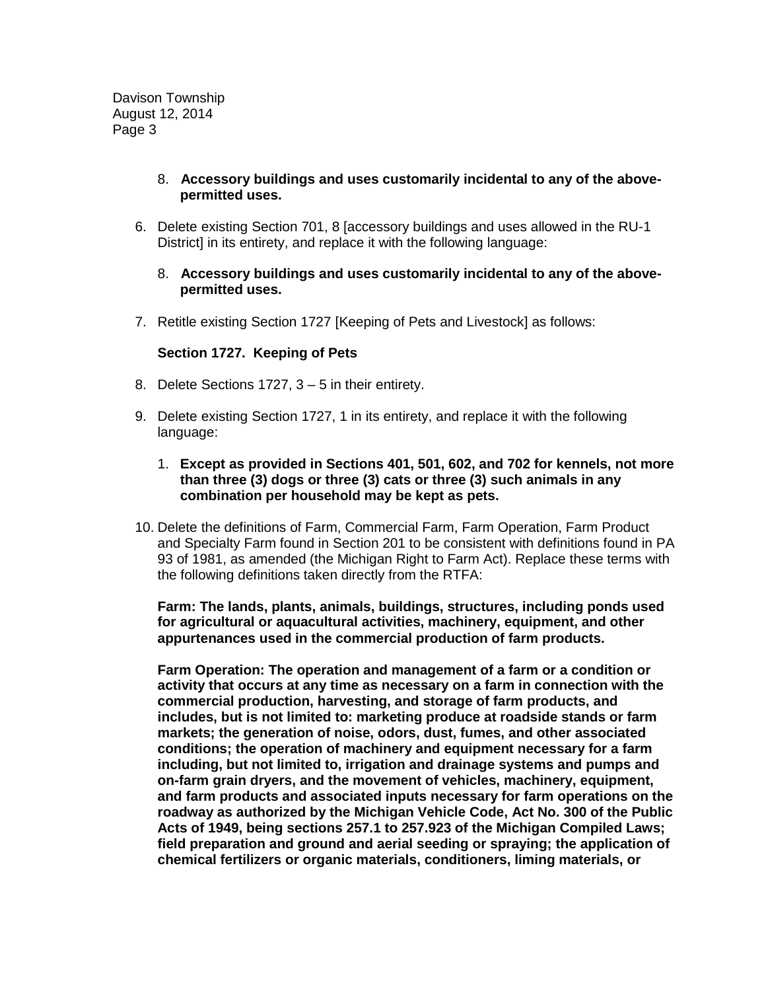Davison Township August 12, 2014 Page 3

# 8. **Accessory buildings and uses customarily incidental to any of the abovepermitted uses.**

6. Delete existing Section 701, 8 [accessory buildings and uses allowed in the RU-1 District] in its entirety, and replace it with the following language:

## 8. **Accessory buildings and uses customarily incidental to any of the abovepermitted uses.**

7. Retitle existing Section 1727 [Keeping of Pets and Livestock] as follows:

# **Section 1727. Keeping of Pets**

- 8. Delete Sections 1727, 3 5 in their entirety.
- 9. Delete existing Section 1727, 1 in its entirety, and replace it with the following language:
	- 1. **Except as provided in Sections 401, 501, 602, and 702 for kennels, not more than three (3) dogs or three (3) cats or three (3) such animals in any combination per household may be kept as pets.**
- 10. Delete the definitions of Farm, Commercial Farm, Farm Operation, Farm Product and Specialty Farm found in Section 201 to be consistent with definitions found in PA 93 of 1981, as amended (the Michigan Right to Farm Act). Replace these terms with the following definitions taken directly from the RTFA:

**Farm: The lands, plants, animals, buildings, structures, including ponds used for agricultural or aquacultural activities, machinery, equipment, and other appurtenances used in the commercial production of farm products.**

**Farm Operation: The operation and management of a farm or a condition or activity that occurs at any time as necessary on a farm in connection with the commercial production, harvesting, and storage of farm products, and includes, but is not limited to: marketing produce at roadside stands or farm markets; the generation of noise, odors, dust, fumes, and other associated conditions; the operation of machinery and equipment necessary for a farm including, but not limited to, irrigation and drainage systems and pumps and on-farm grain dryers, and the movement of vehicles, machinery, equipment, and farm products and associated inputs necessary for farm operations on the roadway as authorized by the Michigan Vehicle Code, Act No. 300 of the Public Acts of 1949, being sections 257.1 to 257.923 of the Michigan Compiled Laws; field preparation and ground and aerial seeding or spraying; the application of chemical fertilizers or organic materials, conditioners, liming materials, or**